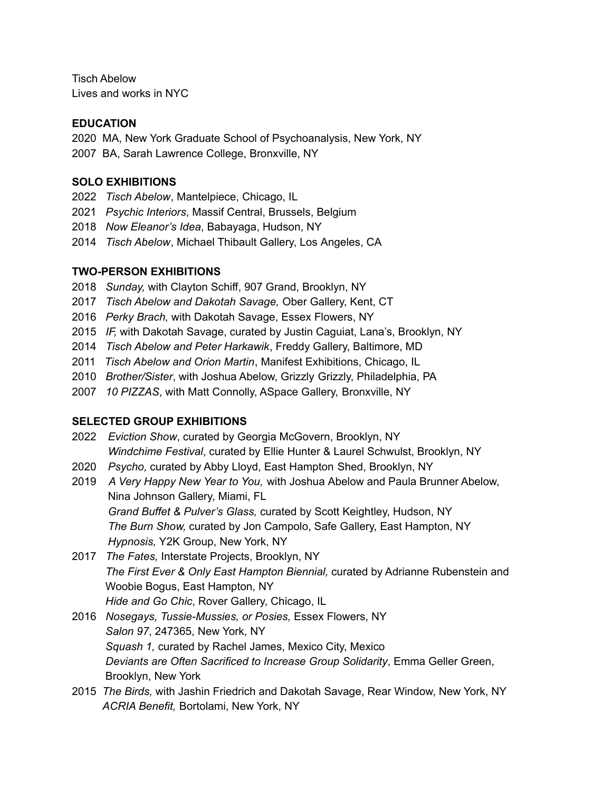Tisch Abelow Lives and works in NYC

### **EDUCATION**

2020 MA, New York Graduate School of Psychoanalysis, New York, NY 2007 BA, Sarah Lawrence College, Bronxville, NY

### **SOLO EXHIBITIONS**

- 2022 *Tisch Abelow*, Mantelpiece, Chicago, IL
- 2021 *Psychic Interiors*, Massif Central, Brussels, Belgium
- 2018 *Now Eleanor's Idea*, Babayaga, Hudson, NY
- 2014 *Tisch Abelow*, Michael Thibault Gallery, Los Angeles, CA

### **TWO-PERSON EXHIBITIONS**

- 2018 *Sunday,* with Clayton Schiff, 907 Grand, Brooklyn, NY
- 2017 *Tisch Abelow and Dakotah Savage,* Ober Gallery, Kent, CT
- 2016 *Perky Brach,* with Dakotah Savage, Essex Flowers, NY
- 2015 *IF,* with Dakotah Savage, curated by Justin Caguiat, Lana's, Brooklyn, NY
- 2014 *Tisch Abelow and Peter Harkawik*, Freddy Gallery, Baltimore, MD
- 2011 *Tisch Abelow and Orion Martin*, Manifest Exhibitions, Chicago, IL
- 2010 *Brother/Sister*, with Joshua Abelow, Grizzly Grizzly, Philadelphia, PA
- 2007 *10 PIZZAS*, with Matt Connolly, ASpace Gallery, Bronxville, NY

# **SELECTED GROUP EXHIBITIONS**

- 2022 *Eviction Show*, curated by Georgia McGovern, Brooklyn, NY *Windchime Festival*, curated by Ellie Hunter & Laurel Schwulst, Brooklyn, NY
- 2020 *Psycho,* curated by Abby Lloyd, East Hampton Shed, Brooklyn, NY
- 2019 *A Very Happy New Year to You,* with Joshua Abelow and Paula Brunner Abelow, Nina Johnson Gallery, Miami, FL *Grand Buffet & Pulver's Glass,* curated by Scott Keightley, Hudson, NY *The Burn Show,* curated by Jon Campolo, Safe Gallery, East Hampton, NY *Hypnosis,* Y2K Group, New York, NY
- 2017 *The Fates,* Interstate Projects, Brooklyn, NY *The First Ever & Only East Hampton Biennial,* curated by Adrianne Rubenstein and Woobie Bogus, East Hampton, NY *Hide and Go Chic*, Rover Gallery, Chicago, IL
- 2016 *Nosegays, Tussie-Mussies, or Posies,* Essex Flowers, NY *Salon 97*, 247365, New York, NY *Squash 1,* curated by Rachel James, Mexico City, Mexico *Deviants are Often Sacrificed to Increase Group Solidarity*, Emma Geller Green, Brooklyn, New York
- 2015 *The Birds,* with Jashin Friedrich and Dakotah Savage, Rear Window, New York, NY *ACRIA Benefit,* Bortolami, New York, NY